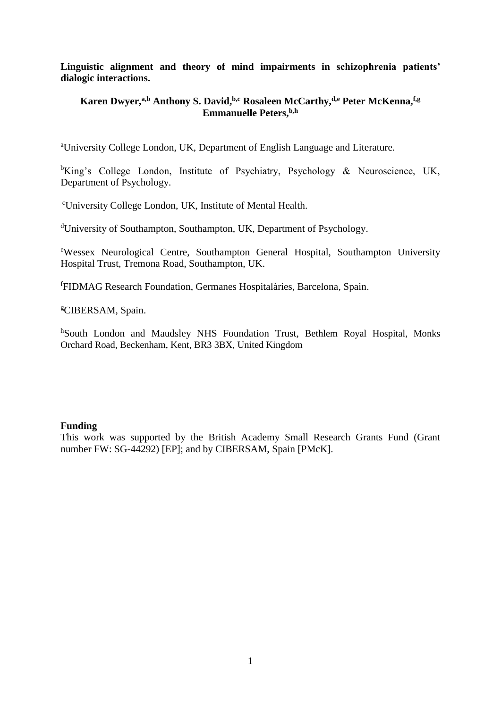**Linguistic alignment and theory of mind impairments in schizophrenia patients' dialogic interactions.**

# **Karen Dwyer,a,b Anthony S. David,b,c Rosaleen McCarthy,d,e Peter McKenna,f,g Emmanuelle Peters,b,h**

<sup>a</sup>University College London, UK, Department of English Language and Literature.

<sup>b</sup>King's College London, Institute of Psychiatry, Psychology & Neuroscience, UK, Department of Psychology.

<sup>c</sup>University College London, UK, Institute of Mental Health.

<sup>d</sup>University of Southampton, Southampton, UK, Department of Psychology.

<sup>e</sup>Wessex Neurological Centre, Southampton General Hospital, Southampton University Hospital Trust, Tremona Road, Southampton, UK.

<sup>f</sup>FIDMAG Research Foundation, Germanes Hospitalàries, Barcelona, Spain.

<sup>g</sup>CIBERSAM, Spain.

hSouth London and Maudsley NHS Foundation Trust, Bethlem Royal Hospital, Monks Orchard Road, Beckenham, Kent, BR3 3BX, United Kingdom

# **Funding**

This work was supported by the British Academy Small Research Grants Fund (Grant number FW: SG-44292) [EP]; and by CIBERSAM, Spain [PMcK].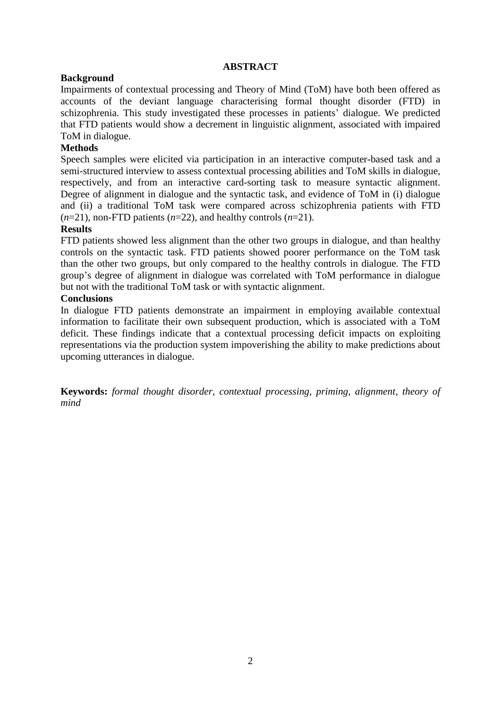# **ABSTRACT**

# **Background**

Impairments of contextual processing and Theory of Mind (ToM) have both been offered as accounts of the deviant language characterising formal thought disorder (FTD) in schizophrenia. This study investigated these processes in patients' dialogue. We predicted that FTD patients would show a decrement in linguistic alignment, associated with impaired ToM in dialogue.

# **Methods**

Speech samples were elicited via participation in an interactive computer-based task and a semi-structured interview to assess contextual processing abilities and ToM skills in dialogue, respectively, and from an interactive card-sorting task to measure syntactic alignment. Degree of alignment in dialogue and the syntactic task, and evidence of ToM in (i) dialogue and (ii) a traditional ToM task were compared across schizophrenia patients with FTD  $(n=21)$ , non-FTD patients  $(n=22)$ , and healthy controls  $(n=21)$ .

# **Results**

FTD patients showed less alignment than the other two groups in dialogue, and than healthy controls on the syntactic task. FTD patients showed poorer performance on the ToM task than the other two groups, but only compared to the healthy controls in dialogue. The FTD group's degree of alignment in dialogue was correlated with ToM performance in dialogue but not with the traditional ToM task or with syntactic alignment.

# **Conclusions**

In dialogue FTD patients demonstrate an impairment in employing available contextual information to facilitate their own subsequent production, which is associated with a ToM deficit. These findings indicate that a contextual processing deficit impacts on exploiting representations via the production system impoverishing the ability to make predictions about upcoming utterances in dialogue.

**Keywords:** *formal thought disorder, contextual processing, priming, alignment, theory of mind*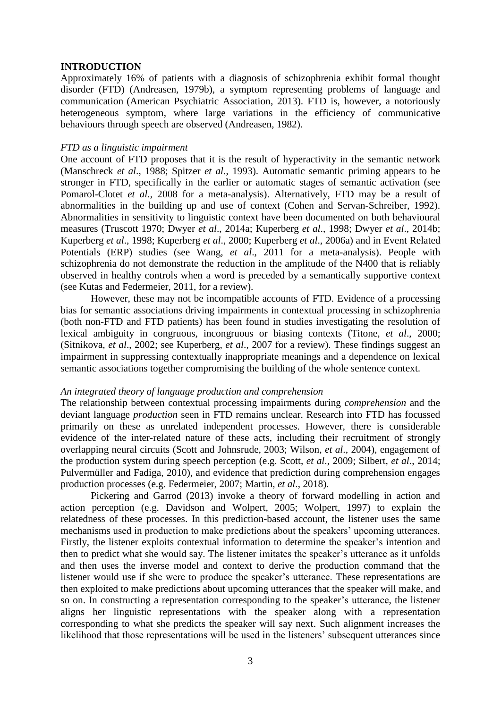## **INTRODUCTION**

Approximately 16% of patients with a diagnosis of schizophrenia exhibit formal thought disorder (FTD) (Andreasen, 1979b), a symptom representing problems of language and communication (American Psychiatric Association, 2013). FTD is, however, a notoriously heterogeneous symptom, where large variations in the efficiency of communicative behaviours through speech are observed (Andreasen, 1982).

### *FTD as a linguistic impairment*

One account of FTD proposes that it is the result of hyperactivity in the semantic network (Manschreck *et al*., 1988; Spitzer *et al*., 1993). Automatic semantic priming appears to be stronger in FTD, specifically in the earlier or automatic stages of semantic activation (see Pomarol-Clotet *et al*., 2008 for a meta-analysis). Alternatively, FTD may be a result of abnormalities in the building up and use of context (Cohen and Servan-Schreiber, 1992). Abnormalities in sensitivity to linguistic context have been documented on both behavioural measures (Truscott 1970; Dwyer *et al*., 2014a; Kuperberg *et al*., 1998; Dwyer *et al*., 2014b; Kuperberg *et al*., 1998; Kuperberg *et al*., 2000; Kuperberg *et al*., 2006a) and in Event Related Potentials (ERP) studies (see Wang, *et al*., 2011 for a meta-analysis). People with schizophrenia do not demonstrate the reduction in the amplitude of the N400 that is reliably observed in healthy controls when a word is preceded by a semantically supportive context (see Kutas and Federmeier, [2011,](javascript:popRef2() for a review).

However, these may not be incompatible accounts of FTD. Evidence of a processing bias for semantic associations driving impairments in contextual processing in schizophrenia (both non-FTD and FTD patients) has been found in studies investigating the resolution of lexical ambiguity in congruous, incongruous or biasing contexts (Titone, *et al*., 2000; (Sitnikova, *et al*., 2002; see Kuperberg, *et al*., 2007 for a review). These findings suggest an impairment in suppressing contextually inappropriate meanings and a dependence on lexical semantic associations together compromising the building of the whole sentence context.

#### *An integrated theory of language production and comprehension*

The relationship between contextual processing impairments during *comprehension* and the deviant language *production* seen in FTD remains unclear. Research into FTD has focussed primarily on these as unrelated independent processes. However, there is considerable evidence of the inter-related nature of these acts, including their recruitment of strongly overlapping neural circuits (Scott and Johnsrude, 2003; Wilson, *et al*., 2004), engagement of the production system during speech perception (e.g. Scott, *et al*., 2009; Silbert, *et al*., 2014; [Pulvermüller](https://scholar.google.com/citations?user=dm5arl4AAAAJ&hl=en&oi=sra) and [Fadiga,](https://scholar.google.com/citations?user=EPOtdwMAAAAJ&hl=en&oi=sra) 2010), and evidence that prediction during comprehension engages production processes (e.g. Federmeier, 2007; Martin, *et al*., 2018).

Pickering and Garrod (2013) invoke a theory of forward modelling in action and action perception (e.g. Davidson and Wolpert, 2005; Wolpert, 1997) to explain the relatedness of these processes. In this prediction-based account, the listener uses the same mechanisms used in production to make predictions about the speakers' upcoming utterances. Firstly, the listener exploits contextual information to determine the speaker's intention and then to predict what she would say. The listener imitates the speaker's utterance as it unfolds and then uses the inverse model and context to derive the production command that the listener would use if she were to produce the speaker's utterance. These representations are then exploited to make predictions about upcoming utterances that the speaker will make, and so on. In constructing a representation corresponding to the speaker's utterance, the listener aligns her linguistic representations with the speaker along with a representation corresponding to what she predicts the speaker will say next. Such alignment increases the likelihood that those representations will be used in the listeners' subsequent utterances since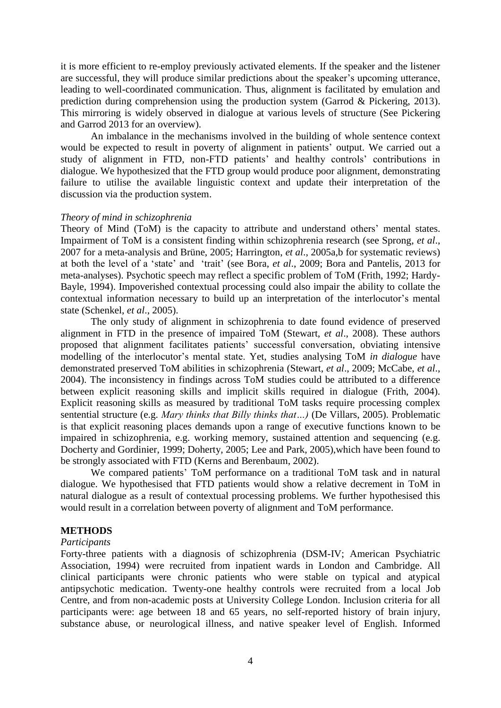it is more efficient to re-employ previously activated elements. If the speaker and the listener are successful, they will produce similar predictions about the speaker's upcoming utterance, leading to well-coordinated communication. Thus, alignment is facilitated by emulation and prediction during comprehension using the production system (Garrod & Pickering, 2013). This mirroring is widely observed in dialogue at various levels of structure (See Pickering and Garrod 2013 for an overview).

An imbalance in the mechanisms involved in the building of whole sentence context would be expected to result in poverty of alignment in patients' output. We carried out a study of alignment in FTD, non-FTD patients' and healthy controls' contributions in dialogue. We hypothesized that the FTD group would produce poor alignment, demonstrating failure to utilise the available linguistic context and update their interpretation of the discussion via the production system.

### *Theory of mind in schizophrenia*

Theory of Mind (ToM) is the capacity to attribute and understand others' mental states. Impairment of ToM is a consistent finding within schizophrenia research (see Sprong, *et al*., 2007 for a meta-analysis and Brüne, 2005; Harrington, *et al*., 2005a,b for systematic reviews) at both the level of a 'state' and 'trait' (see Bora, *et al*., 2009; Bora and Pantelis, 2013 for meta-analyses). Psychotic speech may reflect a specific problem of ToM (Frith, 1992; Hardy-Bayle, 1994). Impoverished contextual processing could also impair the ability to collate the contextual information necessary to build up an interpretation of the interlocutor's mental state (Schenkel, *et al*., 2005).

The only study of alignment in schizophrenia to date found evidence of preserved alignment in FTD in the presence of impaired ToM (Stewart, *et al*., 2008). These authors proposed that alignment facilitates patients' successful conversation, obviating intensive modelling of the interlocutor's mental state. Yet, studies analysing ToM *in dialogue* have demonstrated preserved ToM abilities in schizophrenia (Stewart, *et al*., 2009; McCabe, *et al*., 2004). The inconsistency in findings across ToM studies could be attributed to a difference between explicit reasoning skills and implicit skills required in dialogue (Frith, 2004). Explicit reasoning skills as measured by traditional ToM tasks require processing complex sentential structure (e.g. *Mary thinks that Billy thinks that…)* (De Villars, 2005). Problematic is that explicit reasoning places demands upon a range of executive functions known to be impaired in schizophrenia, e.g. working memory, sustained attention and sequencing (e.g. Docherty and Gordinier, 1999; Doherty, 2005; Lee and Park, 2005),which have been found to be strongly associated with FTD (Kerns and Berenbaum, 2002).

We compared patients' ToM performance on a traditional ToM task and in natural dialogue. We hypothesised that FTD patients would show a relative decrement in ToM in natural dialogue as a result of contextual processing problems. We further hypothesised this would result in a correlation between poverty of alignment and ToM performance.

#### **METHODS**

## *Participants*

Forty-three patients with a diagnosis of schizophrenia (DSM-IV; American Psychiatric Association, 1994) were recruited from inpatient wards in London and Cambridge. All clinical participants were chronic patients who were stable on typical and atypical antipsychotic medication. Twenty-one healthy controls were recruited from a local Job Centre, and from non-academic posts at University College London. Inclusion criteria for all participants were: age between 18 and 65 years, no self-reported history of brain injury, substance abuse, or neurological illness, and native speaker level of English. Informed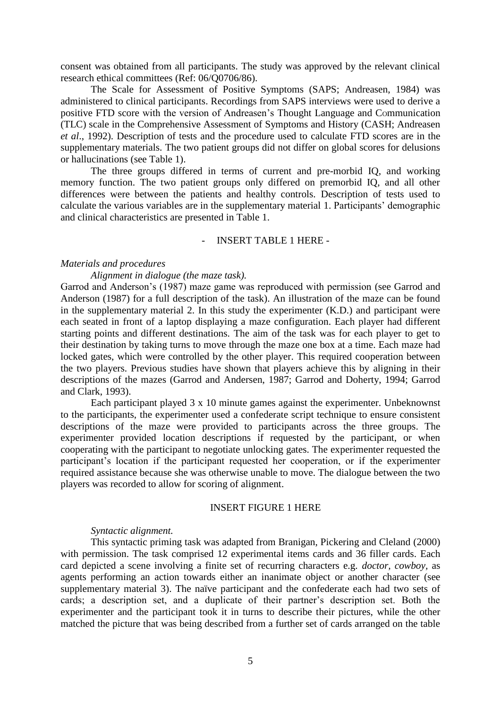consent was obtained from all participants. The study was approved by the relevant clinical research ethical committees (Ref: 06/Q0706/86).

The Scale for Assessment of Positive Symptoms (SAPS; Andreasen, 1984) was administered to clinical participants. Recordings from SAPS interviews were used to derive a positive FTD score with the version of Andreasen's Thought Language and COmmunication (TLC) scale in the Comprehensive Assessment of Symptoms and History (CASH; Andreasen *et al*., 1992). Description of tests and the procedure used to calculate FTD scores are in the supplementary materials. The two patient groups did not differ on global scores for delusions or hallucinations (see Table 1).

The three groups differed in terms of current and pre-morbid IQ, and working memory function. The two patient groups only differed on premorbid IQ, and all other differences were between the patients and healthy controls. Description of tests used to calculate the various variables are in the supplementary material 1. Participants' demographic and clinical characteristics are presented in Table 1.

## - INSERT TABLE 1 HERE -

## *Materials and procedures*

## *Alignment in dialogue (the maze task).*

Garrod and Anderson's (1987) maze game was reproduced with permission (see Garrod and Anderson (1987) for a full description of the task). An illustration of the maze can be found in the supplementary material 2. In this study the experimenter (K.D.) and participant were each seated in front of a laptop displaying a maze configuration. Each player had different starting points and different destinations. The aim of the task was for each player to get to their destination by taking turns to move through the maze one box at a time. Each maze had locked gates, which were controlled by the other player. This required cooperation between the two players. Previous studies have shown that players achieve this by aligning in their descriptions of the mazes (Garrod and Andersen, 1987; Garrod and Doherty, 1994; Garrod and Clark, 1993).

Each participant played 3 x 10 minute games against the experimenter. Unbeknownst to the participants, the experimenter used a confederate script technique to ensure consistent descriptions of the maze were provided to participants across the three groups. The experimenter provided location descriptions if requested by the participant, or when cooperating with the participant to negotiate unlocking gates. The experimenter requested the participant's location if the participant requested her cooperation, or if the experimenter required assistance because she was otherwise unable to move. The dialogue between the two players was recorded to allow for scoring of alignment.

#### INSERT FIGURE 1 HERE

#### *Syntactic alignment.*

This syntactic priming task was adapted from Branigan, Pickering and Cleland (2000) with permission. The task comprised 12 experimental items cards and 36 filler cards. Each card depicted a scene involving a finite set of recurring characters e.g. *doctor, cowboy,* as agents performing an action towards either an inanimate object or another character (see supplementary material 3). The naïve participant and the confederate each had two sets of cards; a description set, and a duplicate of their partner's description set. Both the experimenter and the participant took it in turns to describe their pictures, while the other matched the picture that was being described from a further set of cards arranged on the table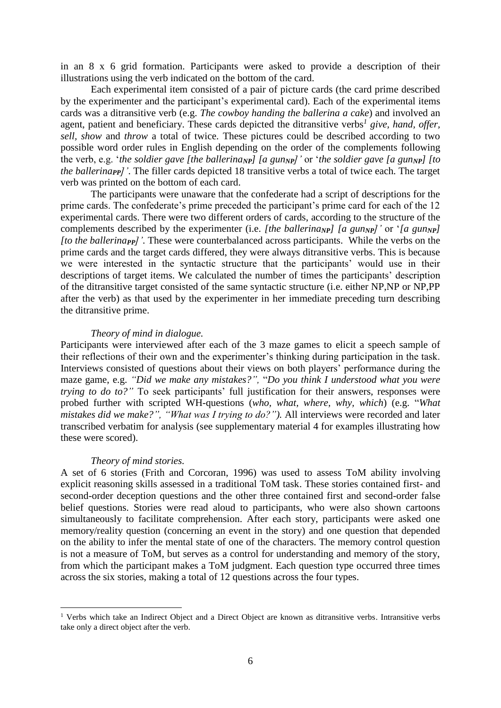in an 8 x 6 grid formation. Participants were asked to provide a description of their illustrations using the verb indicated on the bottom of the card.

Each experimental item consisted of a pair of picture cards (the card prime described by the experimenter and the participant's experimental card). Each of the experimental items cards was a ditransitive verb (e.g. *The cowboy handing the ballerina a cake*) and involved an agent, patient and beneficiary. These cards depicted the ditransitive verbs*<sup>1</sup> give, hand, offer, sell, show* and *throw* a total of twice. These pictures could be described according to two possible word order rules in English depending on the order of the complements following the verb, e.g. '*the soldier gave [the ballerinaNP] [a gunNP]'* or '*the soldier gave [a gunNP] [to the ballerinaPP]'*. The filler cards depicted 18 transitive verbs a total of twice each. The target verb was printed on the bottom of each card.

The participants were unaware that the confederate had a script of descriptions for the prime cards. The confederate's prime preceded the participant's prime card for each of the 12 experimental cards. There were two different orders of cards, according to the structure of the complements described by the experimenter (i.e. *[the ballerinaNP] [a gunNP]'* or '*[a gunNP] [to the ballerinaPP]'*. These were counterbalanced across participants. While the verbs on the prime cards and the target cards differed, they were always ditransitive verbs. This is because we were interested in the syntactic structure that the participants' would use in their descriptions of target items. We calculated the number of times the participants' description of the ditransitive target consisted of the same syntactic structure (i.e. either NP,NP or NP,PP after the verb) as that used by the experimenter in her immediate preceding turn describing the ditransitive prime.

#### *Theory of mind in dialogue.*

Participants were interviewed after each of the 3 maze games to elicit a speech sample of their reflections of their own and the experimenter's thinking during participation in the task. Interviews consisted of questions about their views on both players' performance during the maze game, e.g. *"Did we make any mistakes?",* "*Do you think I understood what you were trying to do to?"* To seek participants' full justification for their answers, responses were probed further with scripted WH-questions (*who, what, where, why, which*) (e.g. "*What mistakes did we make?", "What was I trying to do?").* All interviews were recorded and later transcribed verbatim for analysis (see supplementary material 4 for examples illustrating how these were scored).

#### *Theory of mind stories.*

1

A set of 6 stories (Frith and Corcoran, 1996) was used to assess ToM ability involving explicit reasoning skills assessed in a traditional ToM task. These stories contained first- and second-order deception questions and the other three contained first and second-order false belief questions. Stories were read aloud to participants, who were also shown cartoons simultaneously to facilitate comprehension. After each story, participants were asked one memory/reality question (concerning an event in the story) and one question that depended on the ability to infer the mental state of one of the characters. The memory control question is not a measure of ToM, but serves as a control for understanding and memory of the story, from which the participant makes a ToM judgment. Each question type occurred three times across the six stories, making a total of 12 questions across the four types.

<sup>&</sup>lt;sup>1</sup> Verbs which take an Indirect Object and a Direct Object are known as ditransitive verbs. Intransitive verbs take only a direct object after the verb.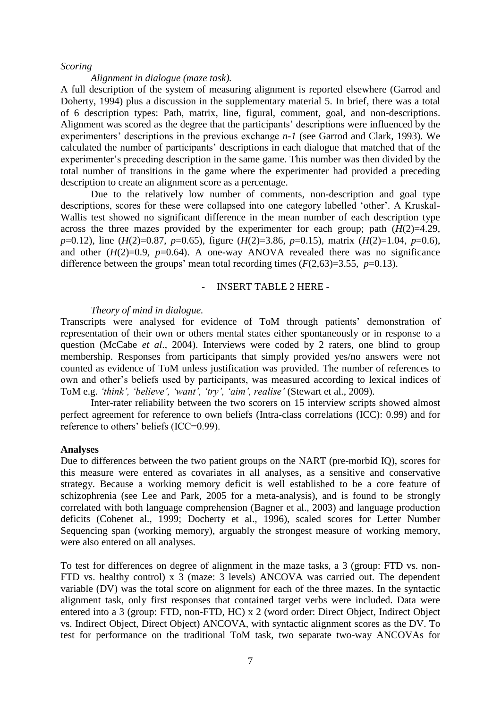#### *Scoring*

## *Alignment in dialogue (maze task).*

A full description of the system of measuring alignment is reported elsewhere (Garrod and Doherty, 1994) plus a discussion in the supplementary material 5. In brief, there was a total of 6 description types: Path, matrix, line, figural, comment, goal, and non-descriptions. Alignment was scored as the degree that the participants' descriptions were influenced by the experimenters' descriptions in the previous exchange *n-1* (see Garrod and Clark, 1993). We calculated the number of participants' descriptions in each dialogue that matched that of the experimenter's preceding description in the same game. This number was then divided by the total number of transitions in the game where the experimenter had provided a preceding description to create an alignment score as a percentage.

Due to the relatively low number of comments, non-description and goal type descriptions, scores for these were collapsed into one category labelled 'other'. A Kruskal-Wallis test showed no significant difference in the mean number of each description type across the three mazes provided by the experimenter for each group; path  $(H(2)=4.29)$ , *p*=0.12), line (*H*(2)=0.87, *p*=0.65), figure (*H*(2)=3.86, *p*=0.15), matrix (*H*(2)=1.04, *p*=0.6), and other  $(H(2)=0.9, p=0.64)$ . A one-way ANOVA revealed there was no significance difference between the groups' mean total recording times  $(F(2,63)=3.55, p=0.13)$ .

## - INSERT TABLE 2 HERE -

## *Theory of mind in dialogue.*

Transcripts were analysed for evidence of ToM through patients' demonstration of representation of their own or others mental states either spontaneously or in response to a question (McCabe *et al*., 2004). Interviews were coded by 2 raters, one blind to group membership. Responses from participants that simply provided yes/no answers were not counted as evidence of ToM unless justification was provided. The number of references to own and other's beliefs used by participants, was measured according to lexical indices of ToM e.g. *'think', 'believe', 'want', 'try', 'aim', realise'* (Stewart et al., 2009).

Inter-rater reliability between the two scorers on 15 interview scripts showed almost perfect agreement for reference to own beliefs (Intra-class correlations (ICC): 0.99) and for reference to others' beliefs (ICC=0.99).

#### **Analyses**

Due to differences between the two patient groups on the NART (pre-morbid IQ), scores for this measure were entered as covariates in all analyses, as a sensitive and conservative strategy. Because a working memory deficit is well established to be a core feature of schizophrenia (see Lee and Park, 2005 for a meta-analysis), and is found to be strongly correlated with both language comprehension (Bagner et al., 2003) and language production deficits (Cohenet al., 1999; Docherty et al., 1996), scaled scores for Letter Number Sequencing span (working memory), arguably the strongest measure of working memory, were also entered on all analyses.

To test for differences on degree of alignment in the maze tasks, a 3 (group: FTD vs. non-FTD vs. healthy control) x 3 (maze: 3 levels) ANCOVA was carried out. The dependent variable (DV) was the total score on alignment for each of the three mazes. In the syntactic alignment task, only first responses that contained target verbs were included. Data were entered into a 3 (group: FTD, non-FTD, HC) x 2 (word order: Direct Object, Indirect Object vs. Indirect Object, Direct Object) ANCOVA, with syntactic alignment scores as the DV. To test for performance on the traditional ToM task, two separate two-way ANCOVAs for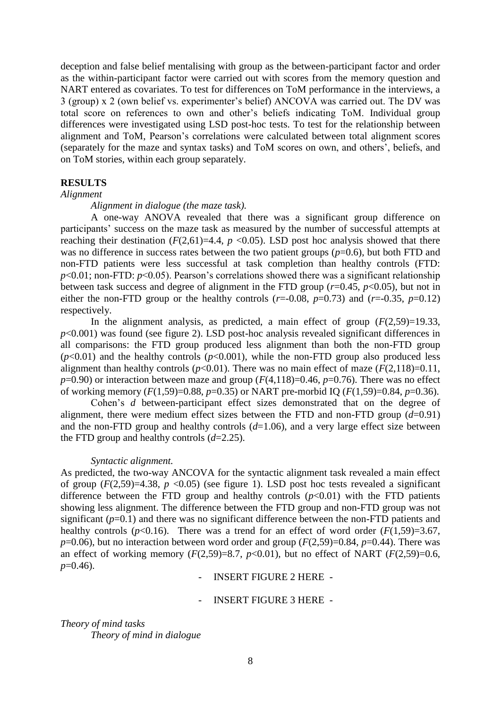deception and false belief mentalising with group as the between-participant factor and order as the within-participant factor were carried out with scores from the memory question and NART entered as covariates. To test for differences on ToM performance in the interviews, a 3 (group) x 2 (own belief vs. experimenter's belief) ANCOVA was carried out. The DV was total score on references to own and other's beliefs indicating ToM. Individual group differences were investigated using LSD post-hoc tests. To test for the relationship between alignment and ToM, Pearson's correlations were calculated between total alignment scores (separately for the maze and syntax tasks) and ToM scores on own, and others', beliefs, and on ToM stories, within each group separately.

# **RESULTS**

# *Alignment*

*Alignment in dialogue (the maze task).* 

A one-way ANOVA revealed that there was a significant group difference on participants' success on the maze task as measured by the number of successful attempts at reaching their destination  $(F(2,61)=4.4, p < 0.05)$ . LSD post hoc analysis showed that there was no difference in success rates between the two patient groups ( $p=0.6$ ), but both FTD and non-FTD patients were less successful at task completion than healthy controls (FTD: *p*<0.01; non-FTD: *p*<0.05). Pearson's correlations showed there was a significant relationship between task success and degree of alignment in the FTD group  $(r=0.45, p<0.05)$ , but not in either the non-FTD group or the healthy controls  $(r=0.08, p=0.73)$  and  $(r=-0.35, p=0.12)$ respectively.

In the alignment analysis, as predicted, a main effect of group  $(F(2,59)=19.33)$ , *p*<0.001) was found (see figure 2). LSD post-hoc analysis revealed significant differences in all comparisons: the FTD group produced less alignment than both the non-FTD group  $(p<0.01)$  and the healthy controls  $(p<0.001)$ , while the non-FTD group also produced less alignment than healthy controls ( $p<0.01$ ). There was no main effect of maze ( $F(2,118)=0.11$ ,  $p=0.90$ ) or interaction between maze and group ( $F(4,118)=0.46$ ,  $p=0.76$ ). There was no effect of working memory (*F*(1,59)=0.88, *p*=0.35) or NART pre-morbid IQ (*F*(1,59)=0.84, *p*=0.36).

Cohen's *d* between-participant effect sizes demonstrated that on the degree of alignment, there were medium effect sizes between the FTD and non-FTD group (*d*=0.91) and the non-FTD group and healthy controls (*d*=1.06), and a very large effect size between the FTD group and healthy controls (*d*=2.25).

#### *Syntactic alignment.*

As predicted, the two-way ANCOVA for the syntactic alignment task revealed a main effect of group  $(F(2,59)=4.38, p \le 0.05)$  (see figure 1). LSD post hoc tests revealed a significant difference between the FTD group and healthy controls  $(p<0.01)$  with the FTD patients showing less alignment. The difference between the FTD group and non-FTD group was not significant ( $p=0.1$ ) and there was no significant difference between the non-FTD patients and healthy controls ( $p<0.16$ ). There was a trend for an effect of word order ( $F(1,59)=3.67$ ,  $p=0.06$ ), but no interaction between word order and group  $(F(2,59)=0.84, p=0.44)$ . There was an effect of working memory  $(F(2,59)=8.7, p<0.01)$ , but no effect of NART  $(F(2,59)=0.6,$ *p*=0.46).

- INSERT FIGURE 2 HERE -

- INSERT FIGURE 3 HERE -

*Theory of mind tasks Theory of mind in dialogue*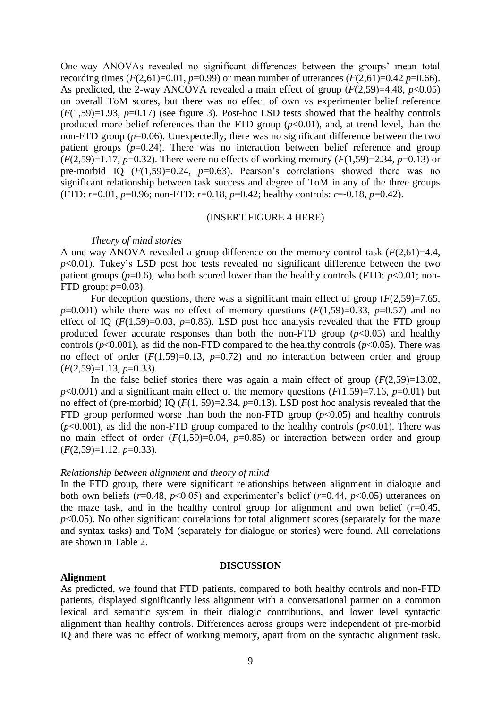One-way ANOVAs revealed no significant differences between the groups' mean total recording times ( $F(2,61)=0.01$ ,  $p=0.99$ ) or mean number of utterances ( $F(2,61)=0.42$   $p=0.66$ ). As predicted, the 2-way ANCOVA revealed a main effect of group  $(F(2,59)=4.48, p<0.05)$ on overall ToM scores, but there was no effect of own vs experimenter belief reference  $(F(1,59)=1.93, p=0.17)$  (see figure 3). Post-hoc LSD tests showed that the healthy controls produced more belief references than the FTD group  $(p<0.01)$ , and, at trend level, than the non-FTD group ( $p=0.06$ ). Unexpectedly, there was no significant difference between the two patient groups  $(p=0.24)$ . There was no interaction between belief reference and group (*F*(2,59)=1.17, *p*=0.32). There were no effects of working memory (*F*(1,59)=2.34, *p*=0.13) or pre-morbid IQ  $(F(1,59)=0.24, p=0.63)$ . Pearson's correlations showed there was no significant relationship between task success and degree of ToM in any of the three groups (FTD: *r*=0.01, *p*=0.96; non-FTD: *r*=0.18, *p*=0.42; healthy controls: *r*=-0.18, *p*=0.42).

#### (INSERT FIGURE 4 HERE)

#### *Theory of mind stories*

A one-way ANOVA revealed a group difference on the memory control task (*F*(2,61)=4.4,  $p<0.01$ ). Tukey's LSD post hoc tests revealed no significant difference between the two patient groups ( $p=0.6$ ), who both scored lower than the healthy controls (FTD:  $p<0.01$ ; non-FTD group: *p*=0.03).

For deception questions, there was a significant main effect of group  $(F(2,59)=7.65)$ ,  $p=0.001$ ) while there was no effect of memory questions  $(F(1,59)=0.33, p=0.57)$  and no effect of IQ  $(F(1,59)=0.03, p=0.86)$ . LSD post hoc analysis revealed that the FTD group produced fewer accurate responses than both the non-FTD group  $(p<0.05)$  and healthy controls ( $p$ <0.001), as did the non-FTD compared to the healthy controls ( $p$ <0.05). There was no effect of order  $(F(1,59)=0.13, p=0.72)$  and no interaction between order and group (*F*(2,59)=1.13, *p*=0.33).

In the false belief stories there was again a main effect of group  $(F(2,59)=13.02,$  $p<0.001$ ) and a significant main effect of the memory questions ( $F(1,59)=7.16$ ,  $p=0.01$ ) but no effect of (pre-morbid) IQ (*F*(1, 59)=2.34, *p*=0.13). LSD post hoc analysis revealed that the FTD group performed worse than both the non-FTD group  $(p<0.05)$  and healthy controls  $(p<0.001)$ , as did the non-FTD group compared to the healthy controls  $(p<0.01)$ . There was no main effect of order  $(F(1,59)=0.04, p=0.85)$  or interaction between order and group (*F*(2,59)=1.12, *p*=0.33).

### *Relationship between alignment and theory of mind*

In the FTD group, there were significant relationships between alignment in dialogue and both own beliefs ( $r=0.48$ ,  $p<0.05$ ) and experimenter's belief ( $r=0.44$ ,  $p<0.05$ ) utterances on the maze task, and in the healthy control group for alignment and own belief  $(r=0.45,$  $p<0.05$ ). No other significant correlations for total alignment scores (separately for the maze and syntax tasks) and ToM (separately for dialogue or stories) were found. All correlations are shown in Table 2.

### **DISCUSSION**

## **Alignment**

As predicted, we found that FTD patients, compared to both healthy controls and non-FTD patients, displayed significantly less alignment with a conversational partner on a common lexical and semantic system in their dialogic contributions, and lower level syntactic alignment than healthy controls. Differences across groups were independent of pre-morbid IQ and there was no effect of working memory, apart from on the syntactic alignment task.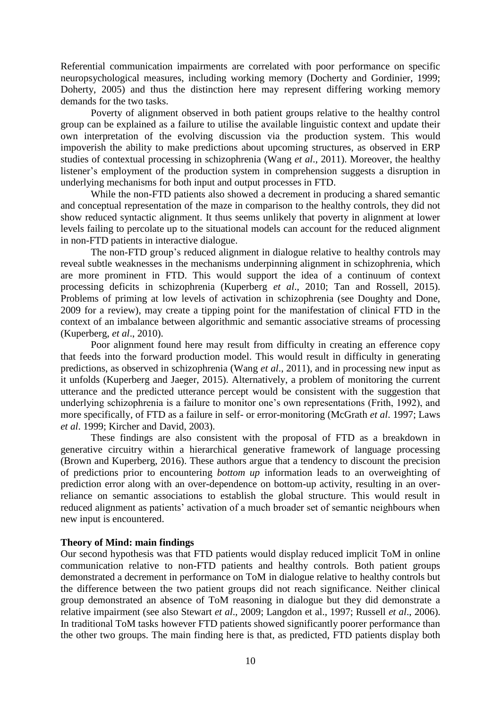Referential communication impairments are correlated with poor performance on specific neuropsychological measures, including working memory (Docherty and Gordinier, 1999; Doherty, 2005) and thus the distinction here may represent differing working memory demands for the two tasks.

Poverty of alignment observed in both patient groups relative to the healthy control group can be explained as a failure to utilise the available linguistic context and update their own interpretation of the evolving discussion via the production system. This would impoverish the ability to make predictions about upcoming structures, as observed in ERP studies of contextual processing in schizophrenia (Wang *et al*., 2011). Moreover, the healthy listener's employment of the production system in comprehension suggests a disruption in underlying mechanisms for both input and output processes in FTD.

While the non-FTD patients also showed a decrement in producing a shared semantic and conceptual representation of the maze in comparison to the healthy controls, they did not show reduced syntactic alignment. It thus seems unlikely that poverty in alignment at lower levels failing to percolate up to the situational models can account for the reduced alignment in non-FTD patients in interactive dialogue.

The non-FTD group's reduced alignment in dialogue relative to healthy controls may reveal subtle weaknesses in the mechanisms underpinning alignment in schizophrenia, which are more prominent in FTD. This would support the idea of a continuum of context processing deficits in schizophrenia (Kuperberg *et al*., 2010; Tan and Rossell, 2015). Problems of priming at low levels of activation in schizophrenia (see Doughty and Done, [2009](http://journals.cambridge.org/action/displayFulltext?type=6&fid=9985622&jid=INS&volumeId=21&issueId=08&aid=9985621&bodyId=&membershipNumber=&societyETOCSession=&fulltextType=RA&fileId=S1355617715000648#ref19) for a review), may create a tipping point for the manifestation of clinical FTD in the context of an imbalance between algorithmic and semantic associative streams of processing (Kuperberg, *et al*., 2010).

Poor alignment found here may result from difficulty in creating an efference copy that feeds into the forward production model. This would result in difficulty in generating predictions, as observed in schizophrenia (Wang *et al*., 2011), and in processing new input as it unfolds (Kuperberg and Jaeger, 2015). Alternatively, a problem of monitoring the current utterance and the predicted utterance percept would be consistent with the suggestion that underlying schizophrenia is a failure to monitor one's own representations (Frith, 1992), and more specifically, of FTD as a failure in self- or error-monitoring (McGrath *et al*. 1997; Laws *et al*. 1999; Kircher and David, 2003).

These findings are also consistent with the proposal of FTD as a breakdown in generative circuitry within a hierarchical generative framework of language processing (Brown and Kuperberg, 2016). These authors argue that a tendency to discount the precision of predictions prior to encountering *bottom up* information leads to an overweighting of prediction error along with an over-dependence on bottom-up activity, resulting in an overreliance on semantic associations to establish the global structure. This would result in reduced alignment as patients' activation of a much broader set of semantic neighbours when new input is encountered.

## **Theory of Mind: main findings**

Our second hypothesis was that FTD patients would display reduced implicit ToM in online communication relative to non-FTD patients and healthy controls. Both patient groups demonstrated a decrement in performance on ToM in dialogue relative to healthy controls but the difference between the two patient groups did not reach significance. Neither clinical group demonstrated an absence of ToM reasoning in dialogue but they did demonstrate a relative impairment (see also Stewart *et al*., 2009; Langdon et al., 1997; Russell *et al*., 2006). In traditional ToM tasks however FTD patients showed significantly poorer performance than the other two groups. The main finding here is that, as predicted, FTD patients display both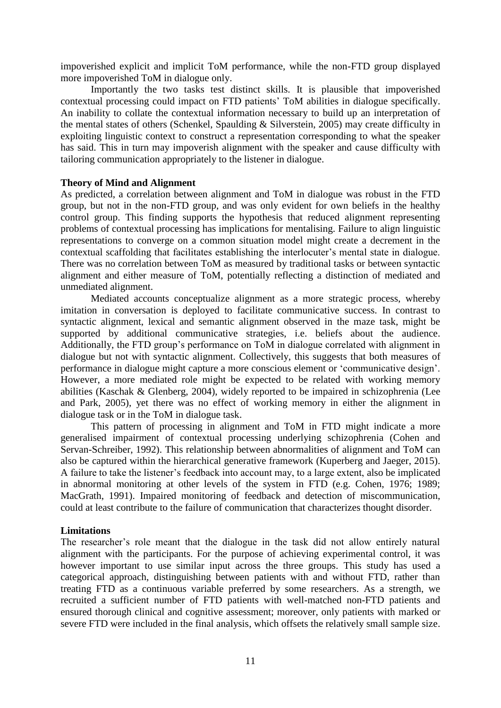impoverished explicit and implicit ToM performance, while the non-FTD group displayed more impoverished ToM in dialogue only.

Importantly the two tasks test distinct skills. It is plausible that impoverished contextual processing could impact on FTD patients' ToM abilities in dialogue specifically. An inability to collate the contextual information necessary to build up an interpretation of the mental states of others (Schenkel, Spaulding & Silverstein, 2005) may create difficulty in exploiting linguistic context to construct a representation corresponding to what the speaker has said. This in turn may impoverish alignment with the speaker and cause difficulty with tailoring communication appropriately to the listener in dialogue.

## **Theory of Mind and Alignment**

As predicted, a correlation between alignment and ToM in dialogue was robust in the FTD group, but not in the non-FTD group, and was only evident for own beliefs in the healthy control group. This finding supports the hypothesis that reduced alignment representing problems of contextual processing has implications for mentalising. Failure to align linguistic representations to converge on a common situation model might create a decrement in the contextual scaffolding that facilitates establishing the interlocuter's mental state in dialogue. There was no correlation between ToM as measured by traditional tasks or between syntactic alignment and either measure of ToM, potentially reflecting a distinction of mediated and unmediated alignment.

Mediated accounts conceptualize alignment as a more strategic process, whereby imitation in conversation is deployed to facilitate communicative success. In contrast to syntactic alignment, lexical and semantic alignment observed in the maze task, might be supported by additional communicative strategies, i.e. beliefs about the audience. Additionally, the FTD group's performance on ToM in dialogue correlated with alignment in dialogue but not with syntactic alignment. Collectively, this suggests that both measures of performance in dialogue might capture a more conscious element or 'communicative design'. However, a more mediated role might be expected to be related with working memory abilities (Kaschak & Glenberg, 2004), widely reported to be impaired in schizophrenia (Lee and Park, 2005), yet there was no effect of working memory in either the alignment in dialogue task or in the ToM in dialogue task.

This pattern of processing in alignment and ToM in FTD might indicate a more generalised impairment of contextual processing underlying schizophrenia (Cohen and Servan-Schreiber, 1992). This relationship between abnormalities of alignment and ToM can also be captured within the hierarchical generative framework (Kuperberg and Jaeger, 2015). A failure to take the listener's feedback into account may, to a large extent, also be implicated in abnormal monitoring at other levels of the system in FTD (e.g. Cohen, 1976; 1989; MacGrath, 1991). Impaired monitoring of feedback and detection of miscommunication, could at least contribute to the failure of communication that characterizes thought disorder.

# **Limitations**

The researcher's role meant that the dialogue in the task did not allow entirely natural alignment with the participants. For the purpose of achieving experimental control, it was however important to use similar input across the three groups. This study has used a categorical approach, distinguishing between patients with and without FTD, rather than treating FTD as a continuous variable preferred by some researchers. As a strength, we recruited a sufficient number of FTD patients with well-matched non-FTD patients and ensured thorough clinical and cognitive assessment; moreover, only patients with marked or severe FTD were included in the final analysis, which offsets the relatively small sample size.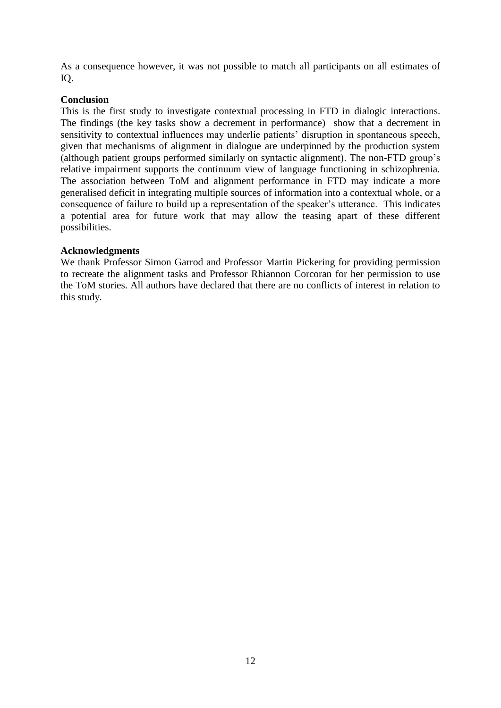As a consequence however, it was not possible to match all participants on all estimates of IQ.

# **Conclusion**

This is the first study to investigate contextual processing in FTD in dialogic interactions. The findings (the key tasks show a decrement in performance) show that a decrement in sensitivity to contextual influences may underlie patients' disruption in spontaneous speech, given that mechanisms of alignment in dialogue are underpinned by the production system (although patient groups performed similarly on syntactic alignment). The non-FTD group's relative impairment supports the continuum view of language functioning in schizophrenia. The association between ToM and alignment performance in FTD may indicate a more generalised deficit in integrating multiple sources of information into a contextual whole, or a consequence of failure to build up a representation of the speaker's utterance. This indicates a potential area for future work that may allow the teasing apart of these different possibilities.

# **Acknowledgments**

We thank Professor Simon Garrod and Professor Martin Pickering for providing permission to recreate the alignment tasks and Professor Rhiannon Corcoran for her permission to use the ToM stories. All authors have declared that there are no conflicts of interest in relation to this study.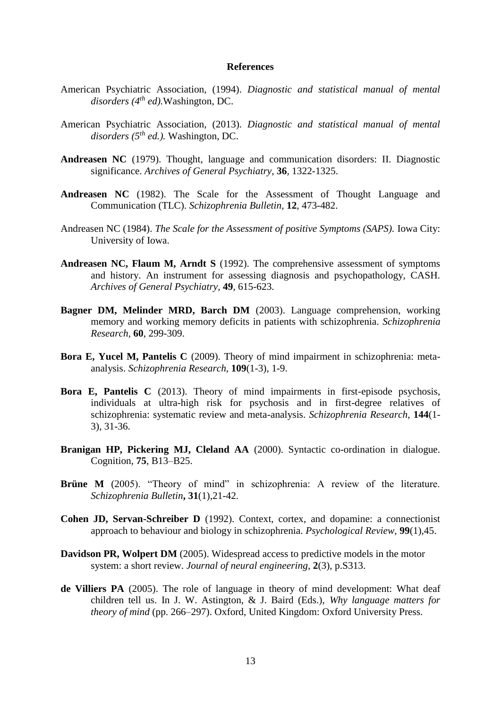## **References**

- American Psychiatric Association, (1994). *Diagnostic and statistical manual of mental disorders (4th ed).*Washington, DC.
- American Psychiatric Association, (2013). *Diagnostic and statistical manual of mental disorders (5 th ed.).* Washington, DC.
- **Andreasen NC** (1979). Thought, language and communication disorders: II. Diagnostic significance. *Archives of General Psychiatry,* **36***,* 1322-1325.
- **Andreasen NC** (1982). The Scale for the Assessment of Thought Language and Communication (TLC). *Schizophrenia Bulletin,* **12***,* 473-482.
- Andreasen NC (1984). *The Scale for the Assessment of positive Symptoms (SAPS).* Iowa City: University of Iowa.
- **Andreasen NC, Flaum M, Arndt S** (1992). The comprehensive assessment of symptoms and history. An instrument for assessing diagnosis and psychopathology, CASH. *Archives of General Psychiatry,* **49**, 615-623.
- **Bagner DM, Melinder MRD, Barch DM** (2003). Language comprehension, working memory and working memory deficits in patients with schizophrenia. *Schizophrenia Research,* **60**, 299-309.
- **Bora E, Yucel M, Pantelis C** (2009). Theory of mind impairment in schizophrenia: metaanalysis. *Schizophrenia Research*, **109**(1-3), 1-9.
- **Bora E, Pantelis C** (2013). Theory of mind impairments in first-episode psychosis, individuals at ultra-high risk for psychosis and in first-degree relatives of schizophrenia: systematic review and meta-analysis. *Schizophrenia Research*, **144**(1- 3), 31-36.
- **Branigan HP, Pickering MJ, Cleland AA** (2000). Syntactic co-ordination in dialogue. Cognition, **75**, B13–B25.
- **Brüne M** (2005). "Theory of mind" in schizophrenia: A review of the literature. *Schizophrenia Bulletin***, 31**(1),21-42.
- **Cohen JD, Servan-Schreiber D** (1992). Context, cortex, and dopamine: a connectionist approach to behaviour and biology in schizophrenia. *Psychological Review,* **99**(1),45.
- **Davidson PR, Wolpert DM** (2005). Widespread access to predictive models in the motor system: a short review. *Journal of neural engineering*, **2**(3), p.S313.
- **de Villiers PA** (2005). The role of language in theory of mind development: What deaf children tell us. In J. W. Astington, & J. Baird (Eds.), *Why language matters for theory of mind* (pp. 266–297). Oxford, United Kingdom: Oxford University Press.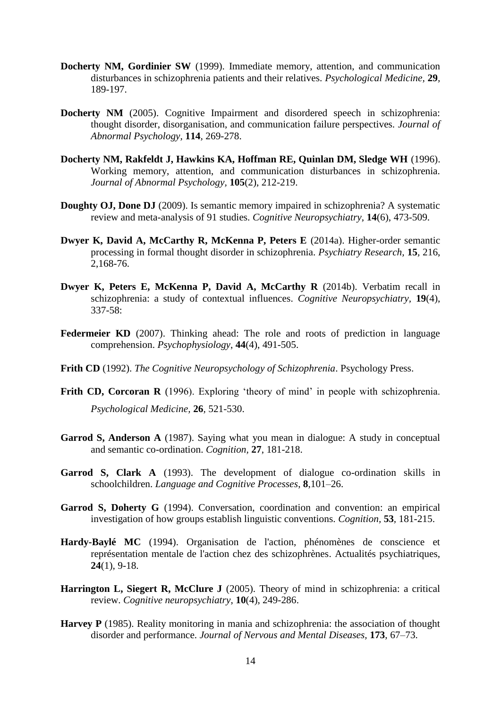- **Docherty NM, Gordinier SW** (1999). Immediate memory, attention, and communication disturbances in schizophrenia patients and their relatives. *Psychological Medicine,* **29***,* 189-197.
- **Docherty NM** (2005). Cognitive Impairment and disordered speech in schizophrenia: thought disorder, disorganisation, and communication failure perspectives. *Journal of Abnormal Psychology,* **114***,* 269-278.
- **Docherty NM, Rakfeldt J, Hawkins KA, Hoffman RE, Quinlan DM, Sledge WH** (1996). Working memory, attention, and communication disturbances in schizophrenia. *Journal of Abnormal Psychology,* **105**(2), 212-219.
- **Doughty OJ, Done DJ** (2009). Is semantic memory impaired in schizophrenia? A systematic review and meta-analysis of 91 studies. *Cognitive Neuropsychiatry*, **14**(6), 473-509.
- **Dwyer K, David A, McCarthy R, McKenna P, Peters E** (2014a). Higher-order semantic processing in formal thought disorder in schizophrenia. *Psychiatry Research,* **15***,* 216, 2,168-76.
- **Dwyer K, Peters E, McKenna P, David A, McCarthy R** (2014b). Verbatim recall in schizophrenia: a study of contextual influences. *Cognitive Neuropsychiatry,* **19**(4), 337-58:
- **Federmeier KD** (2007). Thinking ahead: The role and roots of prediction in language comprehension. *Psychophysiology*, **44**(4), 491-505.
- **Frith CD** (1992). *The Cognitive Neuropsychology of Schizophrenia*. Psychology Press.
- **Frith CD, Corcoran R** (1996). Exploring 'theory of mind' in people with schizophrenia. *Psychological Medicine,* **26***,* 521-530.
- **Garrod S, Anderson A** (1987). Saying what you mean in dialogue: A study in conceptual and semantic co-ordination. *Cognition,* **27**, 181-218.
- **Garrod S, Clark A** (1993). The development of dialogue co-ordination skills in schoolchildren. *Language and Cognitive Processes*, **8**,101–26.
- **Garrod S, Doherty G** (1994). Conversation, coordination and convention: an empirical investigation of how groups establish linguistic conventions. *Cognition,* **53***,* 181-215.
- **Hardy-Baylé MC** (1994). Organisation de l'action, phénomènes de conscience et représentation mentale de l'action chez des schizophrènes. Actualités psychiatriques, **24**(1), 9-18.
- **Harrington L, Siegert R, McClure J** (2005). Theory of mind in schizophrenia: a critical review. *Cognitive neuropsychiatry*, **10**(4), 249-286.
- **Harvey P** (1985). Reality monitoring in mania and schizophrenia: the association of thought disorder and performance. *Journal of Nervous and Mental Diseases,* **173**, 67–73.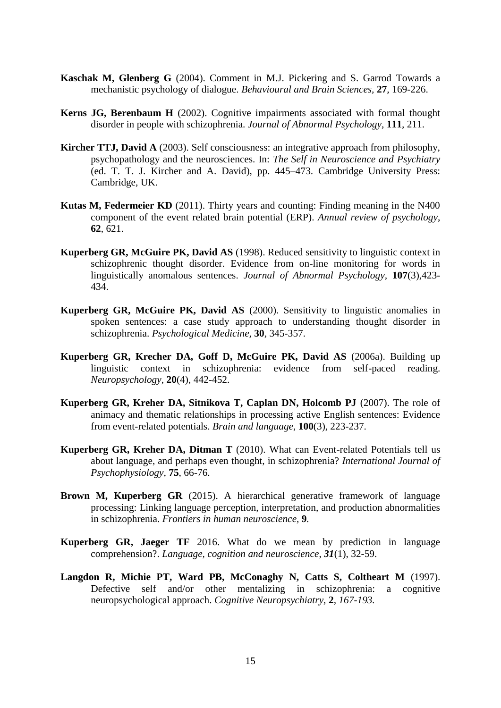- **Kaschak M, Glenberg G** (2004). Comment in M.J. Pickering and S. Garrod Towards a mechanistic psychology of dialogue. *Behavioural and Brain Sciences,* **27***,* 169-226.
- **Kerns JG, Berenbaum H** (2002). Cognitive impairments associated with formal thought disorder in people with schizophrenia. *Journal of Abnormal Psychology*, **111***,* 211.
- **Kircher TTJ, David A** (2003). Self consciousness: an integrative approach from philosophy, psychopathology and the neurosciences. In: *The Self in Neuroscience and Psychiatry* (ed. T. T. J. Kircher and A. David), pp. 445–473. Cambridge University Press: Cambridge, UK.
- **Kutas M, Federmeier KD** (2011). Thirty years and counting: Finding meaning in the N400 component of the event related brain potential (ERP). *Annual review of psychology*, **62**, 621.
- **Kuperberg GR, McGuire PK, David AS** (1998). Reduced sensitivity to linguistic context in schizophrenic thought disorder. Evidence from on-line monitoring for words in linguistically anomalous sentences. *Journal of Abnormal Psychology,* **107**(3),423- 434.
- **Kuperberg GR, McGuire PK, David AS** (2000). Sensitivity to linguistic anomalies in spoken sentences: a case study approach to understanding thought disorder in schizophrenia. *Psychological Medicine,* **30**, 345-357.
- **Kuperberg GR, Krecher DA, Goff D, McGuire PK, David AS** (2006a). Building up linguistic context in schizophrenia: evidence from self-paced reading. *Neuropsychology*, **20**(4), 442-452.
- **Kuperberg GR, Kreher DA, Sitnikova T, Caplan DN, Holcomb PJ** (2007). The role of animacy and thematic relationships in processing active English sentences: Evidence from event-related potentials. *Brain and language*, **100**(3), 223-237.
- **Kuperberg GR, Kreher DA, Ditman T** (2010). What can Event-related Potentials tell us about language, and perhaps even thought, in schizophrenia? *International Journal of Psychophysiology,* **75**, 66-76.
- **Brown M, Kuperberg GR** (2015). A hierarchical generative framework of language processing: Linking language perception, interpretation, and production abnormalities in schizophrenia. *Frontiers in human neuroscience,* **9***.*
- **Kuperberg GR, Jaeger TF** 2016. What do we mean by prediction in language comprehension?. *Language, cognition and neuroscience*, *31*(1), 32-59.
- **Langdon R, Michie PT, Ward PB, McConaghy N, Catts S, Coltheart M** (1997). Defective self and/or other mentalizing in schizophrenia: a cognitive neuropsychological approach. *Cognitive Neuropsychiatry,* **2***, 167-193.*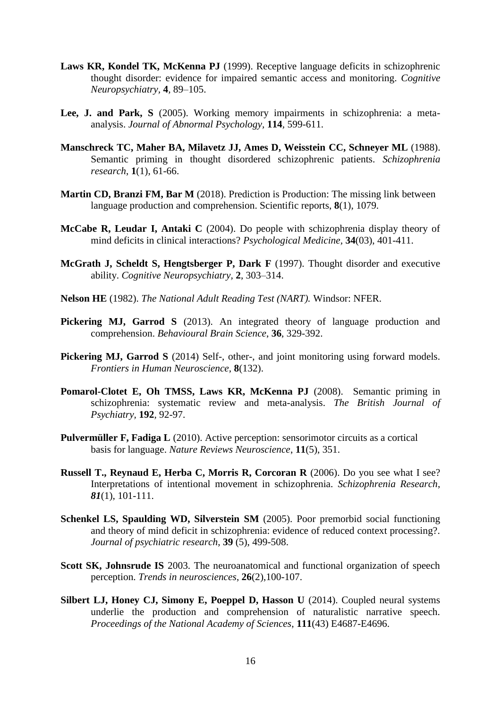- **Laws KR, Kondel TK, McKenna PJ** (1999). Receptive language deficits in schizophrenic thought disorder: evidence for impaired semantic access and monitoring. *Cognitive Neuropsychiatry,* **4***,* 89–105.
- **Lee, J. and Park, S** (2005). Working memory impairments in schizophrenia: a metaanalysis. *Journal of Abnormal Psychology,* **114***,* 599-611.
- **Manschreck TC, Maher BA, Milavetz JJ, Ames D, Weisstein CC, Schneyer ML** (1988). Semantic priming in thought disordered schizophrenic patients. *Schizophrenia research*, **1**(1), 61-66.
- **Martin CD, Branzi FM, Bar M** (2018). Prediction is Production: The missing link between language production and comprehension. Scientific reports, **8**(1), 1079.
- **McCabe R, Leudar I, Antaki C** (2004). Do people with schizophrenia display theory of mind deficits in clinical interactions? *Psychological Medicine,* **34**(03), 401-411.
- **McGrath J, Scheldt S, Hengtsberger P, Dark F** (1997). Thought disorder and executive ability. *Cognitive Neuropsychiatry,* **2**, 303–314.
- **Nelson HE** (1982). *The National Adult Reading Test (NART).* Windsor: NFER.
- Pickering MJ, Garrod S (2013). An integrated theory of language production and comprehension. *Behavioural Brain Science*, **36**, 329-392.
- **[Pickering MJ,](http://eprints.gla.ac.uk/view/author/31235.html) [Garrod S](http://eprints.gla.ac.uk/view/author/11413.html)** (2014) [Self-, other-, and joint monitoring using forward models.](http://eprints.gla.ac.uk/93233/) *[Frontiers in Human Neuroscience](http://eprints.gla.ac.uk/view/journal_volume/Frontiers_in_Human_Neuroscience.html)*, **8**(132).
- **Pomarol-Clotet E, Oh TMSS, Laws KR, McKenna PJ** (2008). Semantic priming in schizophrenia: systematic review and meta-analysis. *The British Journal of Psychiatry,* **192***,* 92-97.
- **Pulvermüller F, Fadiga L** (2010). Active perception: sensorimotor circuits as a cortical basis for language. *Nature Reviews Neuroscience*, **11**(5), 351.
- **Russell T., Reynaud E, Herba C, Morris R, Corcoran R** (2006). Do you see what I see? Interpretations of intentional movement in schizophrenia. *Schizophrenia Research*, *81*(1), 101-111.
- **Schenkel LS, Spaulding WD, Silverstein SM** (2005). Poor premorbid social functioning and theory of mind deficit in schizophrenia: evidence of reduced context processing?. *Journal of psychiatric research*, **39** (5), 499-508.
- **Scott SK, Johnsrude IS** 2003. The neuroanatomical and functional organization of speech perception. *Trends in neurosciences*, **26**(2),100-107.
- **Silbert LJ, Honey CJ, Simony E, Poeppel D, Hasson U** (2014). Coupled neural systems underlie the production and comprehension of naturalistic narrative speech. *Proceedings of the National Academy of Sciences*, **111**(43) E4687-E4696.